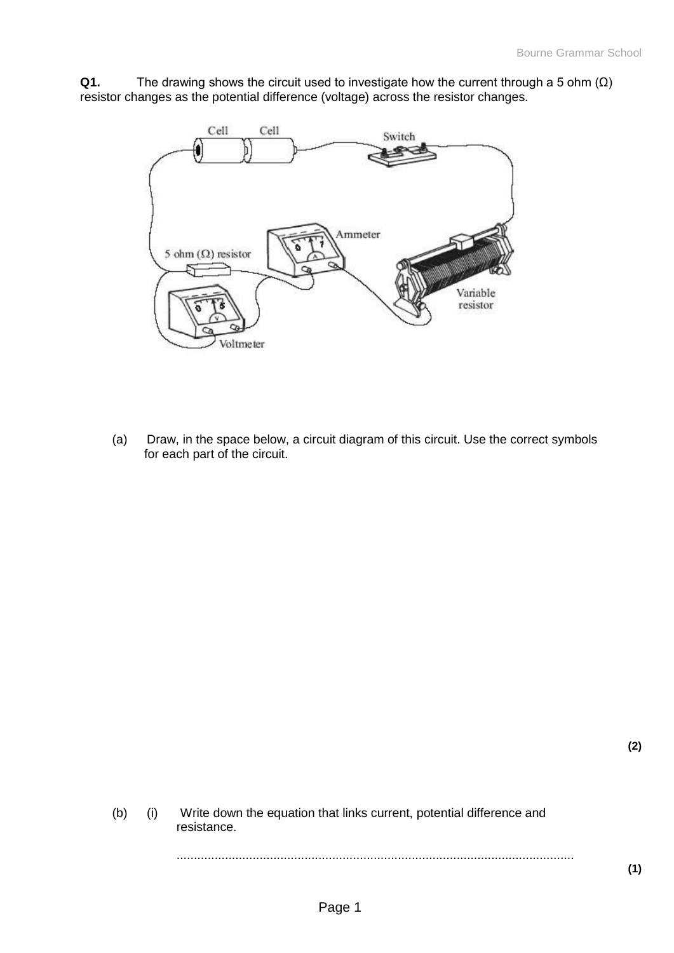**Q1.** The drawing shows the circuit used to investigate how the current through a 5 ohm (Ω) resistor changes as the potential difference (voltage) across the resistor changes.



(a) Draw, in the space below, a circuit diagram of this circuit. Use the correct symbols for each part of the circuit.

(b) (i) Write down the equation that links current, potential difference and resistance. ...................................................................................................................

**(1)**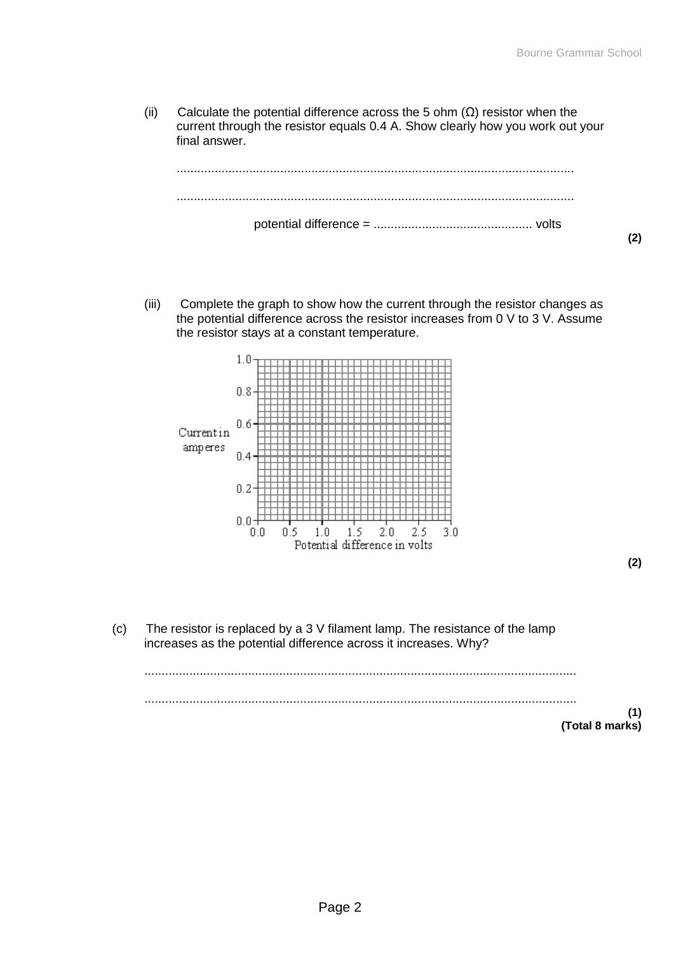(ii) Calculate the potential difference across the 5 ohm  $(\Omega)$  resistor when the current through the resistor equals 0.4 A. Show clearly how you work out your final answer.



(iii) Complete the graph to show how the current through the resistor changes as the potential difference across the resistor increases from 0 V to 3 V. Assume the resistor stays at a constant temperature.



**(2)**

(c) The resistor is replaced by a 3 V filament lamp. The resistance of the lamp increases as the potential difference across it increases. Why? ............................................................................................................................. ............................................................................................................................. **(1) (Total 8 marks)**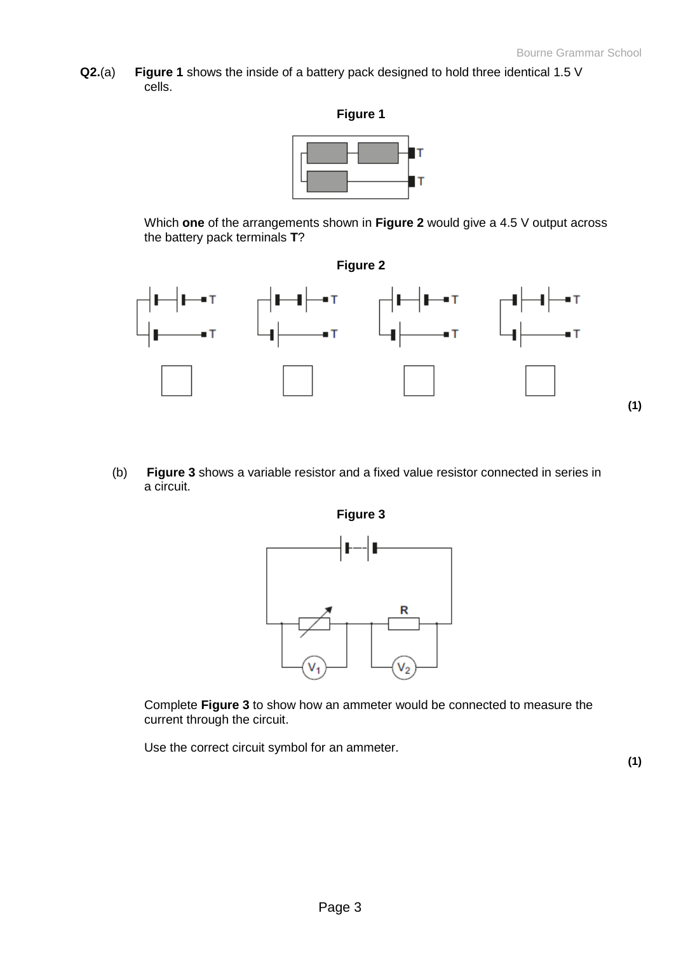**Q2.**(a) **Figure 1** shows the inside of a battery pack designed to hold three identical 1.5 V cells.



Which **one** of the arrangements shown in **Figure 2** would give a 4.5 V output across the battery pack terminals **T**?



(b) **Figure 3** shows a variable resistor and a fixed value resistor connected in series in a circuit.



Complete **Figure 3** to show how an ammeter would be connected to measure the current through the circuit.

Use the correct circuit symbol for an ammeter.

**(1)**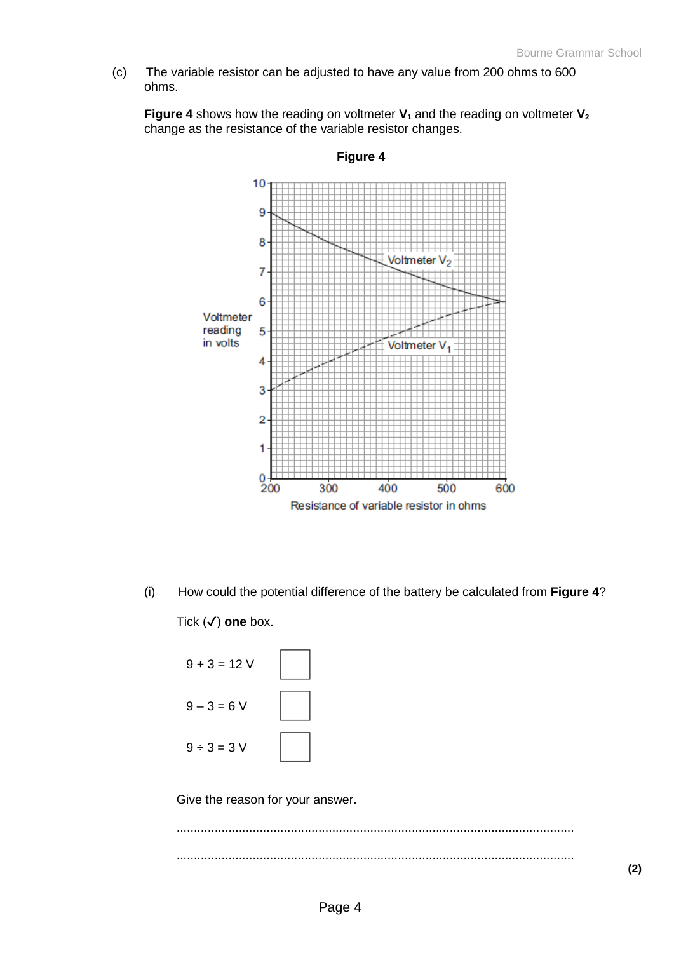(c) The variable resistor can be adjusted to have any value from 200 ohms to 600 ohms.

**Figure 4** shows how the reading on voltmeter **V<sup>1</sup>** and the reading on voltmeter **V<sup>2</sup>** change as the resistance of the variable resistor changes.



**Figure 4**

(i) How could the potential difference of the battery be calculated from **Figure 4**? Tick (✔) **one** box.



Give the reason for your answer.

................................................................................................................... ...................................................................................................................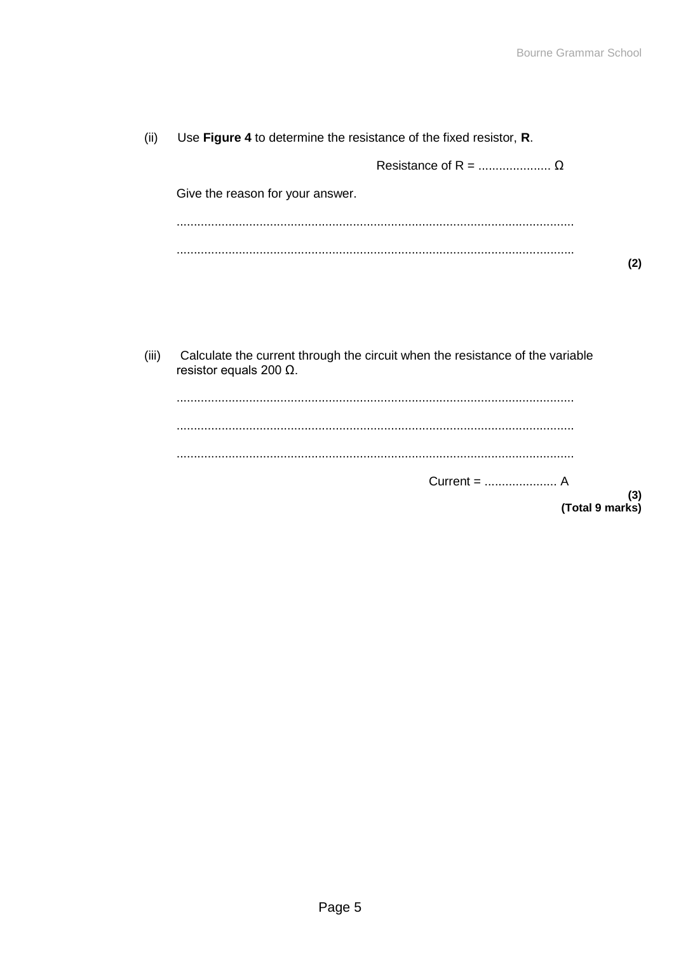| (ii)  | Use Figure 4 to determine the resistance of the fixed resistor, R.                                              |     |
|-------|-----------------------------------------------------------------------------------------------------------------|-----|
|       |                                                                                                                 |     |
|       | Give the reason for your answer.                                                                                |     |
|       |                                                                                                                 |     |
|       |                                                                                                                 | (2) |
|       |                                                                                                                 |     |
|       |                                                                                                                 |     |
|       |                                                                                                                 |     |
| (iii) | Calculate the current through the circuit when the resistance of the variable<br>resistor equals 200 $\Omega$ . |     |
|       |                                                                                                                 |     |
|       |                                                                                                                 |     |
|       |                                                                                                                 |     |
|       |                                                                                                                 | (3) |
|       |                                                                                                                 |     |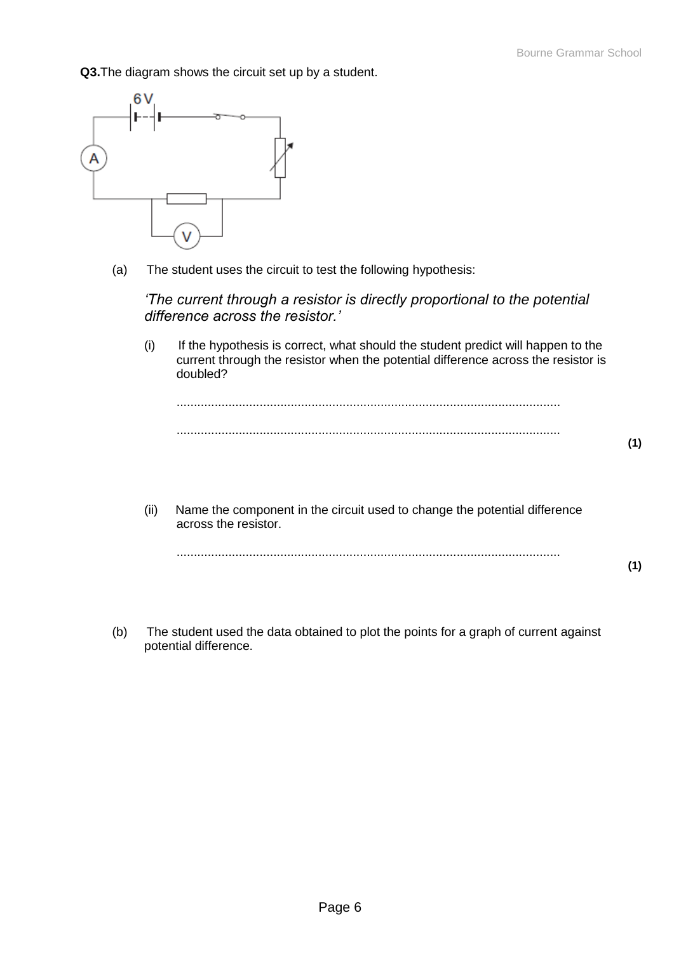**Q3.**The diagram shows the circuit set up by a student.



(a) The student uses the circuit to test the following hypothesis:

*'The current through a resistor is directly proportional to the potential difference across the resistor.'*

(i) If the hypothesis is correct, what should the student predict will happen to the current through the resistor when the potential difference across the resistor is doubled?

............................................................................................................... ...............................................................................................................

(ii) Name the component in the circuit used to change the potential difference across the resistor.

............................................................................................................... **(1)**

(b) The student used the data obtained to plot the points for a graph of current against potential difference.